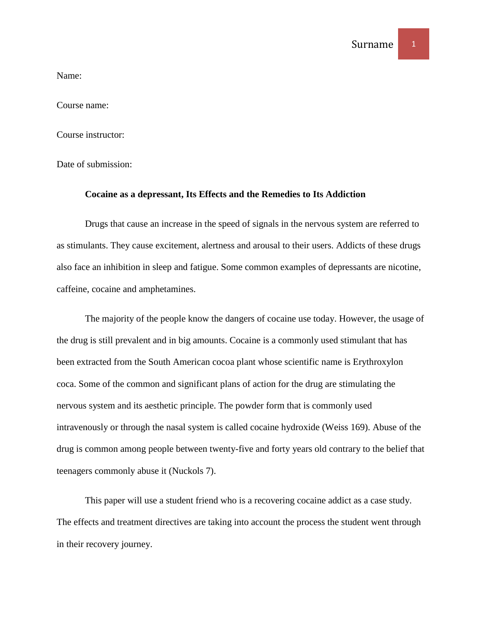Name:

Course name:

Course instructor:

Date of submission:

## **Cocaine as a depressant, Its Effects and the Remedies to Its Addiction**

Drugs that cause an increase in the speed of signals in the nervous system are referred to as stimulants. They cause excitement, alertness and arousal to their users. Addicts of these drugs also face an inhibition in sleep and fatigue. Some common examples of depressants are nicotine, caffeine, cocaine and amphetamines.

The majority of the people know the dangers of cocaine use today. However, the usage of the drug is still prevalent and in big amounts. Cocaine is a commonly used stimulant that has been extracted from the South American cocoa plant whose scientific name is Erythroxylon coca. Some of the common and significant plans of action for the drug are stimulating the nervous system and its aesthetic principle. The powder form that is commonly used intravenously or through the nasal system is called cocaine hydroxide (Weiss 169). Abuse of the drug is common among people between twenty-five and forty years old contrary to the belief that teenagers commonly abuse it (Nuckols 7).

This paper will use a student friend who is a recovering cocaine addict as a case study. The effects and treatment directives are taking into account the process the student went through in their recovery journey.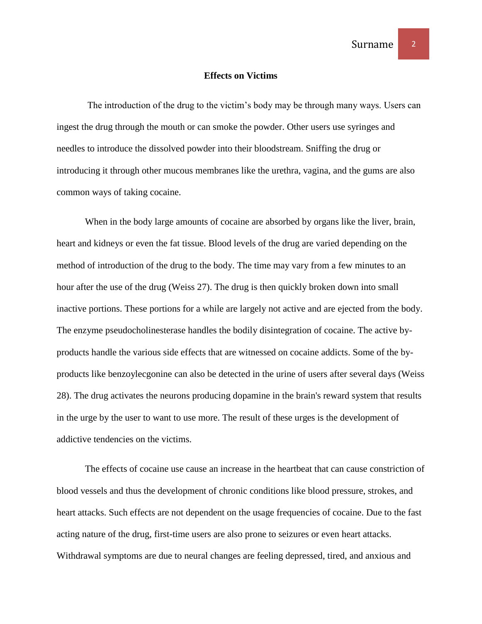## **Effects on Victims**

The introduction of the drug to the victim's body may be through many ways. Users can ingest the drug through the mouth or can smoke the powder. Other users use syringes and needles to introduce the dissolved powder into their bloodstream. Sniffing the drug or introducing it through other mucous membranes like the urethra, vagina, and the gums are also common ways of taking cocaine.

When in the body large amounts of cocaine are absorbed by organs like the liver, brain, heart and kidneys or even the fat tissue. Blood levels of the drug are varied depending on the method of introduction of the drug to the body. The time may vary from a few minutes to an hour after the use of the drug (Weiss 27). The drug is then quickly broken down into small inactive portions. These portions for a while are largely not active and are ejected from the body. The enzyme pseudocholinesterase handles the bodily disintegration of cocaine. The active byproducts handle the various side effects that are witnessed on cocaine addicts. Some of the byproducts like benzoylecgonine can also be detected in the urine of users after several days (Weiss 28). The drug activates the neurons producing dopamine in the brain's reward system that results in the urge by the user to want to use more. The result of these urges is the development of addictive tendencies on the victims.

The effects of cocaine use cause an increase in the heartbeat that can cause constriction of blood vessels and thus the development of chronic conditions like blood pressure, strokes, and heart attacks. Such effects are not dependent on the usage frequencies of cocaine. Due to the fast acting nature of the drug, first-time users are also prone to seizures or even heart attacks. Withdrawal symptoms are due to neural changes are feeling depressed, tired, and anxious and